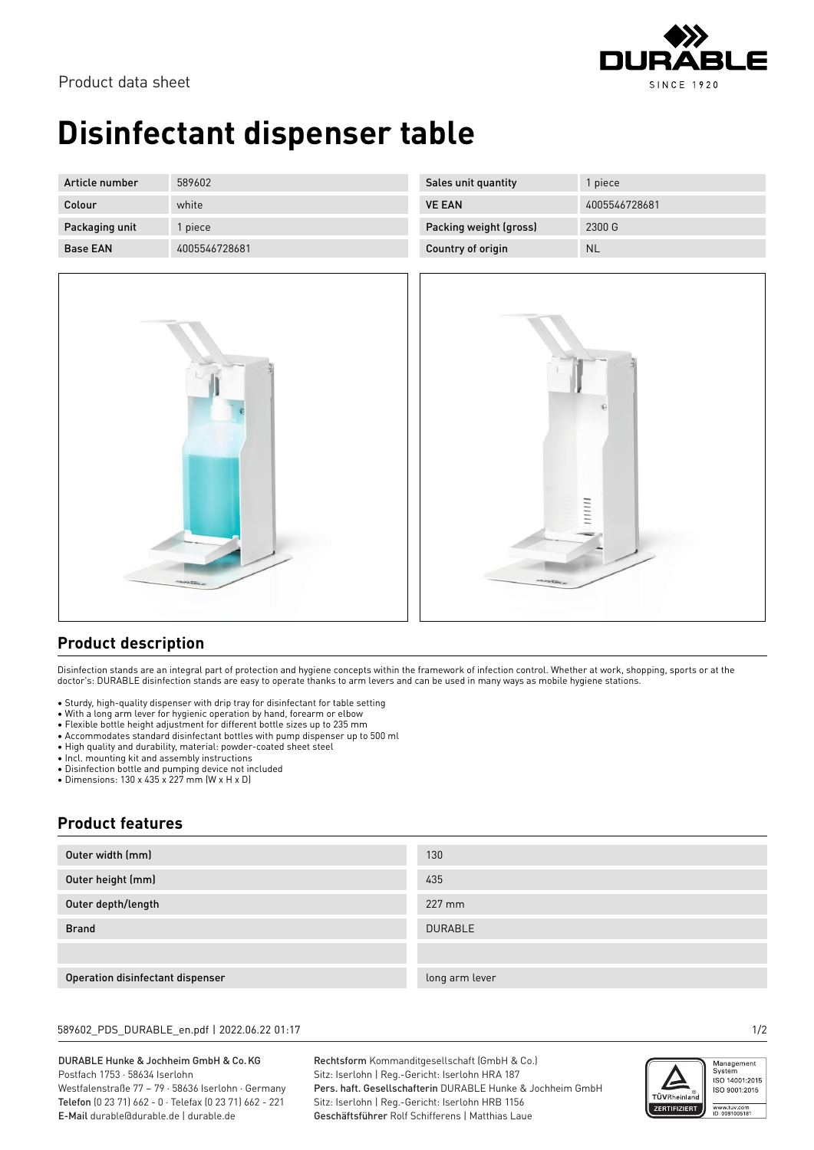

# **Disinfectant dispenser table**

| Article number  | 589602        | Sales unit quantity    | l piece       |
|-----------------|---------------|------------------------|---------------|
| Colour          | white         | <b>VE EAN</b>          | 4005546728681 |
| Packaging unit  | piece         | Packing weight (gross) | 2300 G        |
| <b>Base EAN</b> | 4005546728681 | Country of origin      | <b>NL</b>     |



| Country of origin | <b>INL</b>    |
|-------------------|---------------|
|                   |               |
|                   |               |
|                   |               |
|                   |               |
|                   |               |
|                   |               |
|                   | $\circledast$ |
|                   |               |
|                   |               |
|                   |               |
|                   |               |
|                   | 1111111       |
|                   |               |
|                   |               |
| <b>OUTSTERN</b>   |               |
|                   |               |
|                   |               |

## **Product description**

Disinfection stands are an integral part of protection and hygiene concepts within the framework of infection control. Whether at work, shopping, sports or at the doctor's: DURABLE disinfection stands are easy to operate thanks to arm levers and can be used in many ways as mobile hygiene stations.

- Sturdy, high-quality dispenser with drip tray for disinfectant for table setting
- With a long arm lever for hygienic operation by hand, forearm or elbow
- Flexible bottle height adjustment for different bottle sizes up to 235 mm
- Accommodates standard disinfectant bottles with pump dispenser up to 500 ml
- High quality and durability, material: powder-coated sheet steel
- Incl. mounting kit and assembly instructions
- Disinfection bottle and pumping device not included
- Dimensions: 130 x 435 x 227 mm (W x H x D)

## **Product features**

| Outer width (mm)                 | 130            |
|----------------------------------|----------------|
| Outer height (mm)                | 435            |
| Outer depth/length               | 227 mm         |
| <b>Brand</b>                     | <b>DURABLE</b> |
|                                  |                |
| Operation disinfectant dispenser | long arm lever |

### 589602\_PDS\_DURABLE\_en.pdf | 2022.06.22 01:17 1/2

#### DURABLE Hunke & Jochheim GmbH & Co.KG Postfach 1753 · 58634 Iserlohn Westfalenstraße 77 – 79 · 58636 Iserlohn · Germany Telefon (0 23 71) 662 - 0 · Telefax (0 23 71) 662 - 221 E-Mail durable@durable.de | durable.de

Rechtsform Kommanditgesellschaft (GmbH & Co.) Sitz: Iserlohn | Reg.-Gericht: Iserlohn HRA 187 Pers. haft. Gesellschafterin DURABLE Hunke & Jochheim GmbH Sitz: Iserlohn | Reg.-Gericht: Iserlohn HRB 1156 Geschäftsführer Rolf Schifferens | Matthias Laue